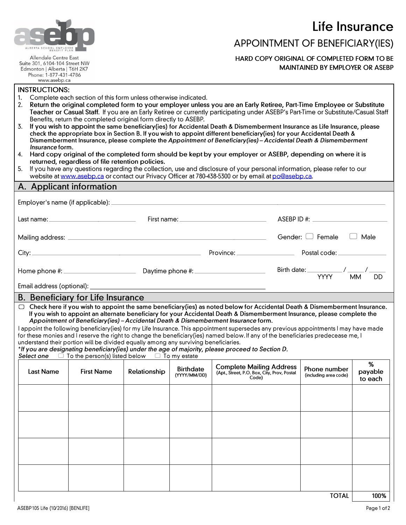Life Insurance



Allendale Centre East Suite 301, 6104-104 Street NW Edmonton | Alberta | T6H 2K7 Phone: 1-877-431-4786 www.asebp.ca

## APPOINTMENT OF BENEFICIARY(IES)

HARD COPY ORIGINAL OF COMPLETED FORM TO BE **MAINTAINED BY EMPLOYER OR ASEBP** 

#### **INSTRUCTIONS:**

- Complete each section of this form unless otherwise indicated. 1.
- Return the original completed form to your employer unless you are an Early Retiree, Part-Time Employee or Substitute  $2.$ Teacher or Casual Staff. If you are an Early Retiree or currently participating under ASEBP's Part-Time or Substitute/Casual Staff Benefits, return the completed original form directly to ASEBP.
- If you wish to appoint the same beneficiary(ies) for Accidental Death & Dismemberment Insurance as Life Insurance, please 3. check the appropriate box in Section B. If you wish to appoint different beneficiary(ies) for your Accidental Death & Dismemberment Insurance, please complete the Appointment of Beneficiary(ies) - Accidental Death & Dismemberment Insurance form.
- 4. Hard copy original of the completed form should be kept by your employer or ASEBP, depending on where it is returned, regardless of file retention policies.
- If you have any questions regarding the collection, use and disclosure of your personal information, please refer to our 5. website at www.asebp.ca or contact our Privacy Officer at 780-438-5300 or by email at po@asebp.ca.

#### A. Applicant information

| Employer's name (if applicable): _ |                                                                                                                                                                                 |              |                                  |                                                                                                                                                                                                                                                                                                                                                                                                                                                                           |  |                                                               |                 |
|------------------------------------|---------------------------------------------------------------------------------------------------------------------------------------------------------------------------------|--------------|----------------------------------|---------------------------------------------------------------------------------------------------------------------------------------------------------------------------------------------------------------------------------------------------------------------------------------------------------------------------------------------------------------------------------------------------------------------------------------------------------------------------|--|---------------------------------------------------------------|-----------------|
|                                    |                                                                                                                                                                                 |              |                                  |                                                                                                                                                                                                                                                                                                                                                                                                                                                                           |  |                                                               |                 |
|                                    |                                                                                                                                                                                 |              |                                  | Gender: $\Box$ Female $\Box$ Male                                                                                                                                                                                                                                                                                                                                                                                                                                         |  |                                                               |                 |
|                                    |                                                                                                                                                                                 |              |                                  |                                                                                                                                                                                                                                                                                                                                                                                                                                                                           |  |                                                               |                 |
|                                    |                                                                                                                                                                                 |              |                                  |                                                                                                                                                                                                                                                                                                                                                                                                                                                                           |  | Birth date: $\frac{1}{\text{YYYY}}$ / $\frac{1}{\text{MM}}$ / | DD              |
|                                    |                                                                                                                                                                                 |              |                                  |                                                                                                                                                                                                                                                                                                                                                                                                                                                                           |  |                                                               |                 |
|                                    | <b>B. Beneficiary for Life Insurance</b>                                                                                                                                        |              |                                  |                                                                                                                                                                                                                                                                                                                                                                                                                                                                           |  |                                                               |                 |
| <b>Last Name</b>                   | understand their portion will be divided equally among any surviving beneficiaries.<br>Select one $\Box$ To the person(s) listed below $\Box$ To my estate<br><b>First Name</b> | Relationship | <b>Birthdate</b><br>(YYYY/MM/DD) | I appoint the following beneficiary(ies) for my Life Insurance. This appointment supersedes any previous appointments I may have made<br>for these monies and I reserve the right to change the beneficiary(ies) named below. If any of the beneficiaries predecease me, I<br>*If you are designating beneficiary(ies) under the age of majority, please proceed to Section D.<br><b>Complete Mailing Address</b><br>(Apt., Street, P.O. Box, City, Prov, Postal<br>Code) |  | Phone number<br>(including area code)                         | $\%$<br>payable |
|                                    |                                                                                                                                                                                 |              |                                  |                                                                                                                                                                                                                                                                                                                                                                                                                                                                           |  |                                                               | to each         |
|                                    |                                                                                                                                                                                 |              |                                  |                                                                                                                                                                                                                                                                                                                                                                                                                                                                           |  | <b>TOTAL</b>                                                  | 100%            |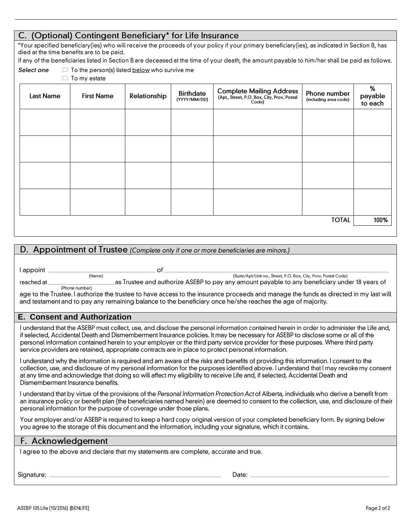## C. (Optional) Contingent Beneficiary\* for Life Insurance

\*Your specified beneficiary(ies) who will receive the proceeds of your policy if your primary beneficiary(ies), as indicated in Section B, has died at the time benefits are to be paid.

If any of the beneficiaries listed in Section B are deceased at the time of your death, the amount payable to him/her shall be paid as follows.

|--|

 $\Box$  To the person(s) listed below who survive me  $\Box$  To my estate

| <b>Last Name</b> | <b>First Name</b> | Relationship | <b>Birthdate</b><br>(YYYY/MM/DD) | <b>Complete Mailing Address</b><br>(Apt., Street, P.O. Box, City, Prov, Postal<br>Code) | Phone number<br>(including area code) | %<br>payable<br>to each |
|------------------|-------------------|--------------|----------------------------------|-----------------------------------------------------------------------------------------|---------------------------------------|-------------------------|
|                  |                   |              |                                  |                                                                                         |                                       |                         |
|                  |                   |              |                                  |                                                                                         |                                       |                         |
|                  |                   |              |                                  |                                                                                         |                                       |                         |
|                  |                   |              |                                  |                                                                                         |                                       |                         |
| <b>TOTAL</b>     |                   |              |                                  |                                                                                         |                                       | 100%                    |

## D. Appointment of Trustee (Complete only if one or more beneficiaries are minors.)

 $of_$ 

l appoint

(Suite/Apt/Unit no., Street, P.O. Box, City, Prov, Postal Code) as Trustee and authorize ASEBP to pay any amount payable to any beneficiary under 18 years of

| reached at |
|------------|
|------------|

(Phone number)

age to the Trustee. I authorize the trustee to have access to the insurance proceeds and manage the funds as directed in my last will and testament and to pay any remaining balance to the beneficiary once he/she reaches the age of majority.

## **E. Consent and Authorization**

 $(Name)$ 

I understand that the ASEBP must collect, use, and disclose the personal information contained herein in order to administer the Life and, if selected, Accidental Death and Dismemberment Insurance policies. It may be necessary for ASEBP to disclose some or all of the personal information contained herein to your employer or the third party service provider for these purposes. Where third party service providers are retained, appropriate contracts are in place to protect personal information.

I understand why the information is required and am aware of the risks and benefits of providing this information. I consent to the collection, use, and disclosure of my personal information for the purposes identified above. I understand that I may revoke my consent at any time and acknowledge that doing so will affect my eligibility to receive Life and, if selected, Accidental Death and Dismemberment Insurance benefits.

I understand that by virtue of the provisions of the Personal Information Protection Act of Alberta, individuals who derive a benefit from an insurance policy or benefit plan (the beneficiaries named herein) are deemed to consent to the collection, use, and disclosure of their personal information for the purpose of coverage under those plans.

Your employer and/or ASEBP is required to keep a hard copy original version of your completed beneficiary form. By signing below you agree to the storage of this document and the information, including your signature, which it contains.

| F. Acknowledgement                                                                   |
|--------------------------------------------------------------------------------------|
| I agree to the above and declare that my statements are complete, accurate and true. |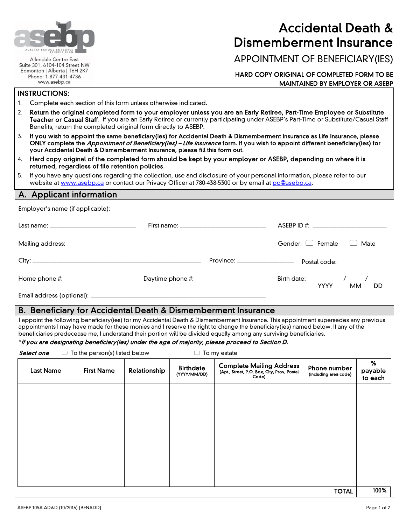

Allendale Centre East Suite 301, 6104-104 Street NW Edmonton | Alberta | T6H 2K7 Phone: 1-877-431-4786 www.asebp.ca

# Accidental Death & Dismemberment Insurance

APPOINTMENT OF BENEFICIARY(IES)

#### HARD COPY ORIGINAL OF COMPLETED FORM TO BE MAINTAINED BY EMPLOYER OR ASEBP

#### INSTRUCTIONS:

- 1. Complete each section of this form unless otherwise indicated.
- 2. Return the original completed form to your employer unless you are an Early Retiree, Part-Time Employee or Substitute Teacher or Casual Staff. If you are an Early Retiree or currently participating under ASEBP's Part-Time or Substitute/Casual Staff Benefits, return the completed original form directly to ASEBP.
- 3. If you wish to appoint the same beneficiary(ies) for Accidental Death & Dismemberment Insurance as Life Insurance, please ONLY complete the *Appointment of Beneficiary(ies) – Life Insurance* form. If you wish to appoint different beneficiary(ies) for your Accidental Death & Dismemberment Insurance, please fill this form out.
- 4. Hard copy original of the completed form should be kept by your employer or ASEBP, depending on where it is returned, regardless of file retention policies.
- 5. If you have any questions regarding the collection, use and disclosure of your personal information, please refer to our website a[t www.asebp.ca](http://www.asebp.ca/) or contact our Privacy Officer at 780-438-5300 or by email at [po@asebp.ca.](mailto:po@asebp.ca)

## A. Applicant information

|  |                                | Gender: [ ] Female<br>Male            |
|--|--------------------------------|---------------------------------------|
|  | Province: ____________________ | Postal code: ________________         |
|  | Daytime phone #:               | <b>YYYY</b><br><b>MM</b><br><b>DD</b> |
|  |                                |                                       |

Email address (optional):

#### B. Beneficiary for Accidental Death & Dismemberment Insurance

I appoint the following beneficiary(ies) for my Accidental Death & Dismemberment Insurance. This appointment supersedes any previous appointments I may have made for these monies and I reserve the right to change the beneficiary(ies) named below. If any of the beneficiaries predecease me, I understand their portion will be divided equally among any surviving beneficiaries.

\*If you are designating beneficiary(ies) under the age of majority, please proceed to Section D.

| <b>Last Name</b> | <b>First Name</b> | Relationship | <b>Birthdate</b><br>(YYYY/MM/DD) | <b>Complete Mailing Address</b><br>(Apt., Street, P.O. Box, City, Prov, Postal<br>Code) | Phone number<br>(including area code) | %<br>payable<br>to each |
|------------------|-------------------|--------------|----------------------------------|-----------------------------------------------------------------------------------------|---------------------------------------|-------------------------|
|                  |                   |              |                                  |                                                                                         |                                       |                         |
|                  |                   |              |                                  |                                                                                         |                                       |                         |
|                  |                   |              |                                  |                                                                                         |                                       |                         |
|                  |                   |              |                                  |                                                                                         |                                       |                         |
|                  |                   |              |                                  |                                                                                         | <b>TOTAL</b>                          | 100%                    |